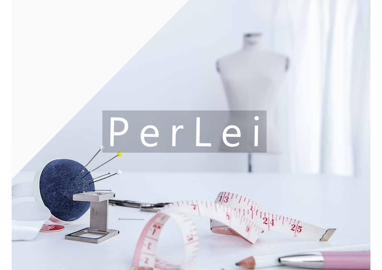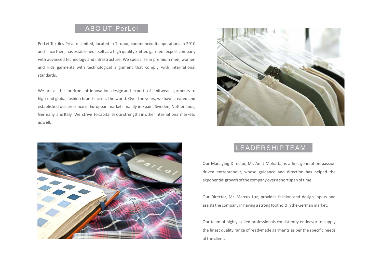## ABO UT PerLei

PerLei Textiles Private Limited, located in Tirupur, commenced its operations in 2010 and since then, has established itself as a high quality knitted garment export company with advanced technology and infrastructure. We specialise in premium men, women and kids garments with technological alignment that comply with international standards.

We are at the forefront of innovation, design and export of knitwear garments to high-end global fashion brands across the world. Over the years, we have created and established our presence in European markets mainly in Spain, Sweden, Netherlands, Germany and Italy. We strive to capitalise our strengths in other international markets as well.





## LEADERSHIP TEAM

Our Managing Director, Mr. Amit Mohatta, is a first generation passion driven entrepreneur, whose guidance and direction has helped the exponential growth of the company over a short span of time.

Our Director, Mr. Marcus Luz, provides fashion and design inputs and assists the company in having a strong foothold in the German market.

Our team of highly skilled professionals consistently endeavor to supply the finest quality range of readymade garments as per the specific needs of the client.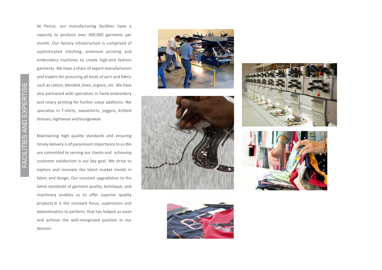FACILITIES AND EXPERTISE FACILITIES AND EXPERTISE At PerLei, our manufacturing facilities have a capacity to produce over 400,000 garments per month. Our factory infrastructure is comprised of sophisticated stitching, premium printing and embroidery machines to create high-end fashion garments. We have a chain of expert manufacturers and traders for procuring all kinds of yarn and fabric such as cotton, blended, linen, organic, etc. We have also partnered with specialists in hand embroidery and rotary printing for further value additions. We specialize in T-shirts, sweatshirts, joggers, knitted dresses, nightwear and loungewear.

Maintaining high quality standards and ensuring timely delivery is of paramount importance to us.We are committed to serving our clients and achieving customer satisfaction is our key goal. We strive to explore and innovate the latest market trends in fabric and design. Our constant upgradation to the latest standards of garment quality, technique, and machinery enables us to offer superior quality products.It is the constant focus, supervision and determination to perform, that has helped us excel and achieve the well-recognized position in our domain.